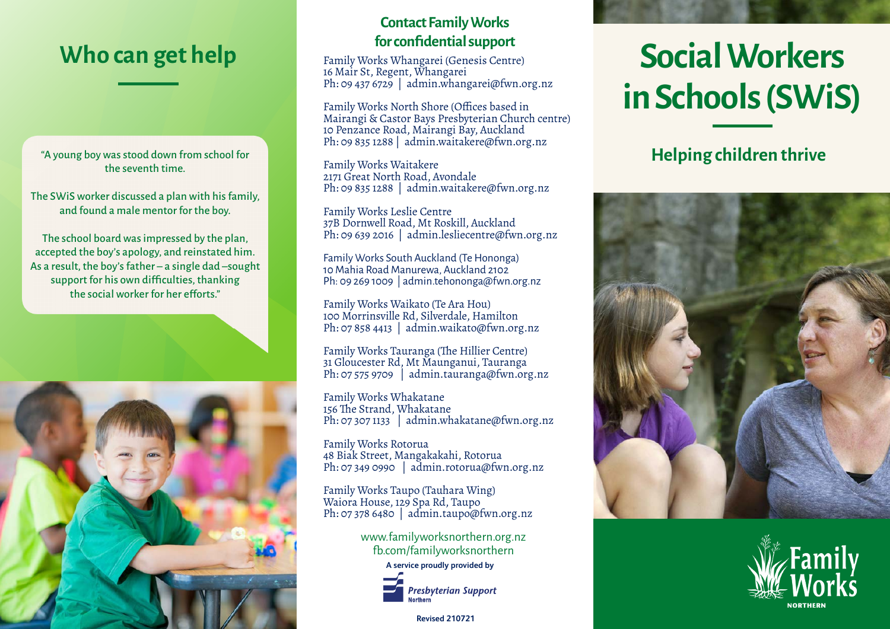## *for confidential support*<br>Family Works Whangarei (Genesis Centre

"A young boy was stood down from school for the seventh time.

The SWiS worker discussed a plan with his family, and found a male mentor for the boy.

The school board was impressed by the plan, accepted the boy's apology, and reinstated him. As a result, the boy's father – a single dad –sought support for his own difficulties, thanking the social worker for her efforts."



# **Contact Family Works**

Family Works Whangarei (Genesis Centre) 16 Mair St, Regent, Whangarei Ph: 09 437 6729 | admin.whangarei@fwn.org.nz

Family Works North Shore (Offices based in Mairangi & Castor Bays Presbyterian Church centre) 10 Penzance Road, Mairangi Bay, Auckland Ph: 09 835 1288 | admin.waitakere@fwn.org.nz

Family Works Waitakere 2171 Great North Road, Avondale Ph: 09 835 1288 | admin.waitakere@fwn.org.nz

Family Works Leslie Centre 37B Dornwell Road, Mt Roskill, Auckland Ph: 09 639 2016 | admin.lesliecentre@fwn.org.nz

Family Works South Auckland (Te Hononga) 10 Mahia Road Manurewa, Auckland 2102 Ph: 09 269 1009 | admin.tehononga@fwn.org.nz

Family Works Waikato (Te Ara Hou) 100 Morrinsville Rd, Silverdale, Hamilton Ph: 07 858 4413 | admin.waikato@fwn.org.nz

Family Works Tauranga (The Hillier Centre) 31 Gloucester Rd, Mt Maunganui, Tauranga Ph: 07 575 9709 | admin.tauranga@fwn.org.nz

Family Works Whakatane 156 The Strand, Whakatane Ph: 07 307 1133 | admin.whakatane@fwn.org.nz

Family Works Rotorua 48 Biak Street, Mangakakahi, Rotorua Ph: 07 349 0990 | admin.rotorua@fwn.org.nz

Family Works Taupo (Tauhara Wing) Waiora House, 129 Spa Rd, Taupo Ph: 07 378 6480 | admin.taupo@fwn.org.nz

> www.familyworksnorthern.org.nz fb.com/familyworksnorthern



**Presbyterian Support** 

**Revised 210721**

# **Social Workers in Schools (SWiS)**

#### **Helping children thrive**